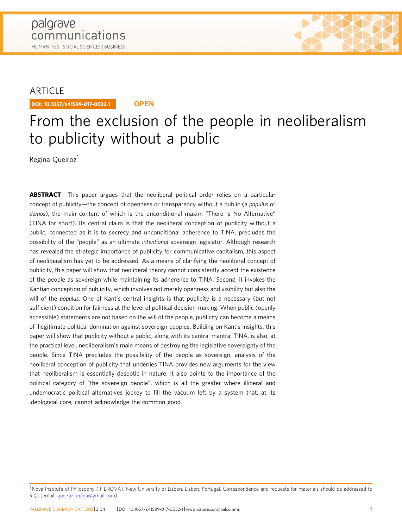# ARTICLE

DOI: 10.1057/s41599-017-0032-1 **OPEN**

# From the exclusion of the people in neoliberalism to publicity without a public

Regina Queiroz<sup>1</sup>

**ABSTRACT** This paper argues that the neoliberal political order relies on a particular concept of publicity—the concept of openness or transparency without a public (a populus or demos), the main content of which is the unconditional maxim "There Is No Alternative" (TINA for short). Its central claim is that the neoliberal conception of publicity without a public, connected as it is to secrecy and unconditional adherence to TINA, precludes the possibility of the "people" as an ultimate intentional sovereign legislator. Although research has revealed the strategic importance of publicity for communicative capitalism, this aspect of neoliberalism has yet to be addressed. As a means of clarifying the neoliberal concept of publicity, this paper will show that neoliberal theory cannot consistently accept the existence of the people as sovereign while maintaining its adherence to TINA. Second, it invokes the Kantian conception of publicity, which involves not merely openness and visibility but also the will of the populus. One of Kant's central insights is that publicity is a necessary (but not sufficient) condition for fairness at the level of political decision-making. When public (openly accessible) statements are not based on the will of the people, publicity can become a means of illegitimate political domination against sovereign peoples. Building on Kant's insights, this paper will show that publicity without a public, along with its central mantra, TINA, is also, at the practical level, neoliberalism's main means of destroying the legislative sovereignty of the people. Since TINA precludes the possibility of the people as sovereign, analysis of the neoliberal conception of publicity that underlies TINA provides new arguments for the view that neoliberalism is essentially despotic in nature. It also points to the importance of the political category of "the sovereign people", which is all the greater where illiberal and undemocratic political alternatives jockey to fill the vacuum left by a system that, at its ideological core, cannot acknowledge the common good.

<sup>&</sup>lt;sup>1</sup> Nova Institute of Philosophy (IFILNOVA), New University of Lisbon, Lisbon, Portugal. Correspondence and requests for materials should be addressed to R.Q. (email: [queiroz.regina@gmail.com\)](mailto:queiroz.regina@gmail.com)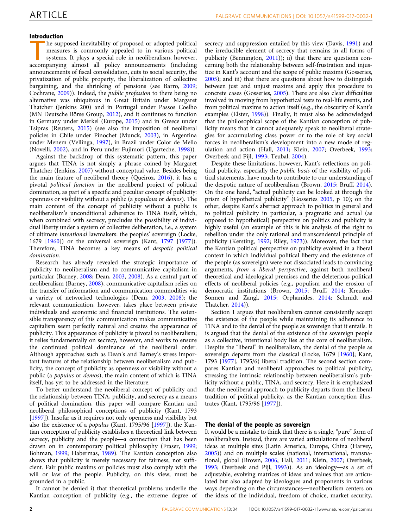# Introduction

he supposed inevitability of proposed or adopted political measures is commonly appealed to in various political systems. It plays a special role in neoliberalism, however, accompanying almost all policy announcements (including announcements of fiscal consolidation, cuts to social security, the privatization of public property, the liberalization of collective bargaining, and the shrinking of pensions (see Barro, [2009;](#page-8-0) Cochrane, [2009](#page-9-0))). Indeed, the public profession to there being no alternative was ubiquitous in Great Britain under Margaret Thatcher (Jenkins 200) and in Portugal under Passos Coelho (MN Deutsche Börse Group, [2012](#page-9-0)), and it continues to function in Germany under Merkel (Europe, [2015](#page-9-0)) and in Greece under Tsipras (Reuters, [2015\)](#page-9-0) (see also the imposition of neoliberal policies in Chile under Pinochet (Munck, [2003](#page-9-0)), in Argentina under Menem (Vellinga, [1997\)](#page-10-0), in Brazil under Color de Mello (Novelli, [2002](#page-9-0)), and in Peru under Fujimori (Ugarteche, [1998\)](#page-10-0)).

Against the backdrop of this systematic pattern, this paper argues that TINA is not simply a phrase coined by Margaret Thatcher (Jenkins, [2007](#page-9-0)) without conceptual value. Besides being the main feature of neoliberal theory (Queiroz, [2016](#page-9-0)), it has a pivotal political function in the neoliberal project of political domination, as part of a specific and peculiar concept of publicity: openness or visibility without a public (a populous or demos). The main content of the concept of publicity without a public is neoliberalism's unconditional adherence to TINA itself, which, when combined with secrecy, precludes the possibility of individual liberty under a system of collective deliberation, i.e., a system of ultimate intentional lawmakers: the peoples' sovereign (Locke, 1679 [[1960](#page-9-0)]) or the universal sovereign (Kant, [1797](#page-9-0) [[1977](#page-9-0)]). Therefore, TINA becomes a key means of despotic political domination.

Research has already revealed the strategic importance of publicity to neoliberalism and to communicative capitalism in particular (Barney, [2008](#page-8-0); Dean, [2003,](#page-9-0) [2008](#page-9-0)). As a central part of neoliberalism (Barney, [2008\)](#page-8-0), communicative capitalism relies on the transfer of information and communication commodities via a variety of networked technologies (Dean, [2003,](#page-9-0) [2008](#page-9-0)); the relevant communication, however, takes place between private individuals and economic and financial institutions. The ostensible transparency of this communication makes communicative capitalism seem perfectly natural and creates the appearance of publicity. This appearance of publicity is pivotal to neoliberalism; it relies fundamentally on secrecy, however, and works to ensure the continued political dominance of the neoliberal order. Although approaches such as Dean's and Barney's stress important features of the relationship between neoliberalism and publicity, the concept of publicity as openness or visibility without a public (a populus or demos), the main content of which is TINA itself, has yet to be addressed in the literature.

To better understand the neoliberal concept of publicity and the relationship between TINA, publicity, and secrecy as a means of political domination, this paper will compare Kantian and neoliberal philosophical conceptions of publicity (Kant, 1793 [[1997\]](#page-9-0)). Insofar as it requires not only openness and visibility but also the existence of a populus (Kant, 1795/96 [[1997\]](#page-9-0)), the Kantian conception of publicity establishes a theoretical link between secrecy, publicity and the people—a connection that has been drawn on in contemporary political philosophy (Fraser, [1999;](#page-9-0) Bohman, [1999](#page-9-0); Habermas, [1989\)](#page-9-0). The Kantian conception also shows that publicity is merely necessary for fairness, not sufficient. Fair public maxims or policies must also comply with the will or law of the people. Publicity, on this view, must be grounded in a public.

It cannot be denied i) that theoretical problems underlie the Kantian conception of publicity (e.g., the extreme degree of secrecy and suppression entailed by this view (Davis, [1991\)](#page-9-0) and the irreducible element of secrecy that remains in all forms of publicity (Bennington, [2011](#page-8-0))); ii) that there are questions concerning both the relationship between self-frustration and injustice in Kant's account and the scope of public maxims (Gosseries, [2005\)](#page-9-0); and iii) that there are questions about how to distinguish between just and unjust maxims and apply this procedure to concrete cases (Gosseries, [2005\)](#page-9-0). There are also clear difficulties involved in moving from hypothetical tests to real-life events, and from political maxims to action itself (e.g., the obscurity of Kant's examples (Elster, [1998](#page-9-0))). Finally, it must also be acknowledged that the philosophical scope of the Kantian conception of publicity means that it cannot adequately speak to neoliberal strategies for accumulating class power or to the role of key social forces in neoliberalism's development into a new mode of regulation and action (Hall, [2011](#page-9-0); Klein, [2007;](#page-9-0) Overbeek, [1993;](#page-9-0) Overbeek and Pijl, [1993;](#page-9-0) Teubal, [2004](#page-10-0)).

Despite these limitations, however, Kant's reflections on political publicity, especially the public basis of the visibility of political statements, have much to contribute to our understanding of the despotic nature of neoliberalism (Brown, [2015](#page-9-0); Bruff, [2014](#page-9-0)). On the one hand, "actual publicity can be looked at through the prism of hypothetical publicity" (Gosseries [2005,](#page-9-0) p 10); on the other, despite Kant's abstract approach to politics in general and to political publicity in particular, a pragmatic and actual (as opposed to hypothetical) perspective on politics and publicity is highly useful (an example of this is his analysis of the right to rebellion under the only rational and transcendental principle of publicity (Kersting, [1992;](#page-9-0) Riley, [1973](#page-9-0))). Moreover, the fact that the Kantian political perspective on publicity evolved in a liberal context in which individual political liberty and the existence of the people (as sovereign) were not dissociated leads to convincing arguments, from a liberal perspective, against both neoliberal theoretical and ideological premises and the deleterious political effects of neoliberal policies (e.g., populism and the erosion of democratic institutions (Brown, [2015](#page-9-0); Bruff, [2014](#page-9-0); Kreuder-Sonnen and Zangl, [2015](#page-9-0); Orphanides, [2014;](#page-9-0) Schmidt and Thatcher, [2014](#page-9-0))).

Section 1 argues that neoliberalism cannot consistently accept the existence of the people while maintaining its adherence to TINA and to the denial of the people as sovereign that it entails. It is argued that the denial of the existence of the sovereign people as a collective, intentional body lies at the core of neoliberalism. Despite the "liberal" in neoliberalism, the denial of the people as sovereign departs from the classical (Locke, 1679 [[1960\]](#page-9-0); Kant, 1793 [[1977\]](#page-9-0), 1795/6) liberal tradition. The second section compares Kantian and neoliberal approaches to political publicity, stressing the intrinsic relationship between neoliberalism's publicity without a public, TINA, and secrecy. Here it is emphasized that the neoliberal approach to publicity departs from the liberal tradition of political publicity, as the Kantian conception illustrates (Kant, 1795/96 [\[1977](#page-9-0)]).

### The denial of the people as sovereign

It would be a mistake to think that there is a single, "pure" form of neoliberalism. Instead, there are varied articulations of neoliberal ideas at multiple sites (Latin America, Europe, China (Harvey, [2005\)](#page-9-0)) and on multiple scales (national, international, transnational, global (Brown, [2006;](#page-9-0) Hall, [2011](#page-9-0); Klein, [2007;](#page-9-0) Overbeek, [1993;](#page-9-0) Overbeek and Pijl, [1993](#page-9-0))). As an ideology—as a set of adjustable, evolving matrices of ideas and values that are articulated but also adapted by ideologues and proponents in various ways depending on the circumstances—neoliberalism centers on the ideas of the individual, freedom of choice, market security,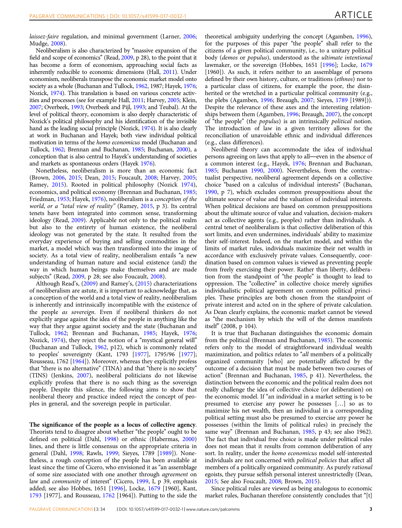laissez-faire regulation, and minimal government (Larner, [2006;](#page-9-0) Mudge, [2008](#page-9-0)).

Neoliberalism is also characterized by "massive expansion of the field and scope of economics" (Read, [2009](#page-9-0), p 28), to the point that it has become a form of economism, approaching social facts as inherently reducible to economic dimensions (Hall, [2011](#page-9-0)). Under economism, neoliberals transpose the economic market model onto society as a whole (Buchanan and Tullock, [1962](#page-9-0), 1987; Hayek, [1976;](#page-9-0) Nozick, [1974](#page-9-0)). This translation is based on various concrete activities and processes (see for example Hall, [2011;](#page-9-0) Harvey, [2005;](#page-9-0) Klein, [2007](#page-9-0); Overbeek, [1993;](#page-9-0) Overbeek and Pijl, [1993;](#page-9-0) and Teubal). At the level of political theory, economism is also deeply characteristic of Nozick's political philosophy and his identification of the invisible hand as the leading social principle (Nozick, [1974\)](#page-9-0). It is also clearly at work in Buchanan and Hayek; both view individual political motivation in terms of the homo economicus model (Buchanan and Tullock, [1962;](#page-9-0) Brennan and Buchanan, [1985;](#page-9-0) Buchanan, [2000\)](#page-9-0), a conception that is also central to Hayek's understanding of societies and markets as spontaneous orders (Hayek [1976\)](#page-9-0).

Nonetheless, neoliberalism is more than an economic fact (Brown, [2006](#page-9-0), [2015;](#page-9-0) Dean, [2015;](#page-9-0) Foucault, [2008](#page-9-0); Harvey, [2005;](#page-9-0) Ramey, [2015\)](#page-9-0). Rooted in political philosophy (Nozick [1974](#page-9-0)), economics, and political economy (Brennan and Buchanan, [1985;](#page-9-0) Friedman, [1953;](#page-9-0) Hayek, [1976\)](#page-9-0), neoliberalism is a conception of the world, or a "total view of reality" (Ramey, [2015](#page-9-0), p 3). Its central tenets have been integrated into common sense, transforming ideology (Read, [2009\)](#page-9-0). Applicable not only to the political realm but also to the entirety of human existence, the neoliberal ideology was not generated by the state. It resulted from the everyday experience of buying and selling commodities in the market, a model which was then transformed into the image of society. As a total view of reality, neoliberalism entails "a new understanding of human nature and social existence (and) the way in which human beings make themselves and are made subjects" (Read, [2009,](#page-9-0) p 28; see also Foucault, [2008\)](#page-9-0).

Although Read's, ([2009\)](#page-9-0) and Ramey's, ([2015\)](#page-9-0) characterizations of neoliberalism are astute, it is important to acknowledge that, as a conception of the world and a total view of reality, neoliberalism is inherently and intrinsically incompatible with the existence of the people as sovereign. Even if neoliberal thinkers do not explicitly argue against the idea of the people in anything like the way that they argue against society and the state (Buchanan and Tullock, [1962;](#page-9-0) Brennan and Buchanan, [1985;](#page-9-0) Hayek, [1976;](#page-9-0) Nozick, [1974\)](#page-9-0), they reject the notion of a "mystical general will" (Buchanan and Tullock, [1962](#page-9-0), p12), which is commonly related to peoples' sovereignty (Kant, 1793 [\[1977](#page-9-0)], 1795/96 [\[1977](#page-9-0)]; Rousseau, 1762 [\[1964](#page-9-0)]). Moreover, whereas they explicitly profess that "there is no alternative" (TINA) and that "there is no society" (TINS) (Jenkins, [2007](#page-9-0)), neoliberal politicians do not likewise explicitly profess that there is no such thing as the sovereign people. Despite this silence, the following aims to show that neoliberal theory and practice indeed reject the concept of peoples in general, and the sovereign people in particular.

The significance of the people as a locus of collective agency. Theorists tend to disagree about whether "the people" ought to be defined on political (Dahl, [1998](#page-9-0)) or ethnic (Habermas, [2000](#page-9-0)) lines, and there is little consensus on the appropriate criteria in general (Dahl, [1998;](#page-9-0) Rawls, [1999;](#page-9-0) Sieyes, 1789 [\[1989](#page-9-0)]). Nonetheless, a rough conception of the people has been available at least since the time of Cicero, who envisioned it as "an assemblage of some size associated with one another through agreement on law and *community* of interest" (Cicero, [1999,](#page-9-0) I, p 39, emphasis added; see also Hobbes, 1651 [\[1996\]](#page-9-0), Locke, [1679](#page-9-0) [1960], Kant, [1793](#page-9-0) [1977], and Rousseau, [1762](#page-9-0) [1964]). Putting to the side the theoretical ambiguity underlying the concept (Agamben, [1996](#page-8-0)), for the purposes of this paper "the people" shall refer to the citizens of a given political community, i.e., to a unitary political body (demos or populus), understood as the ultimate intentional lawmaker, or the sovereign (Hobbes, 1651 [[1996\]](#page-9-0); Locke, [1679](#page-9-0) [1960]). As such, it refers neither to an assemblage of persons defined by their own history, culture, or traditions (ethnos) nor to a particular class of citizens, for example the poor, the disinherited or the wretched in a particular political community (e.g., the plebs (Agamben, [1996](#page-8-0); Breaugh, [2007](#page-9-0); Sieyes, [1789](#page-9-0) [1989])). Despite the relevance of these axes and the interesting relationships between them (Agamben, [1996](#page-8-0); Breaugh, [2007\)](#page-9-0), the concept of "the people" (the populus) is an intrinsically political notion. The introduction of law in a given territory allows for the reconciliation of unavoidable ethnic and individual differences (e.g., class differences).

Neoliberal theory can accommodate the idea of individual persons agreeing on laws that apply to all—even in the absence of a common interest (e.g., Hayek, [1976](#page-9-0); Brennan and Buchanan, [1985;](#page-9-0) Buchanan [1990,](#page-9-0) [2000\)](#page-9-0). Nevertheless, from the contractualist perspective, neoliberal agreement depends on a collective choice "based on a calculus of individual interests" (Buchanan, [1990,](#page-9-0) p 7), which excludes common presuppositions about the ultimate source of value and the valuation of individual interests. When political decisions are based on common presuppositions about the ultimate source of value and valuation, decision-makers act as collective agents (e.g., peoples) rather than individuals. A central tenet of neoliberalism is that collective deliberation of this sort limits, and even undermines, individuals' ability to maximize their self-interest. Indeed, on the market model, and within the limits of market rules, individuals maximize their net wealth in accordance with exclusively private values. Consequently, coordination based on common values is viewed as preventing people from freely exercising their power. Rather than liberty, deliberation from the standpoint of "the people" is thought to lead to oppression. The "collective" in collective choice merely signifies individualistic political agreement on common political principles. These principles are both chosen from the standpoint of private interest and acted on in the sphere of private calculation. As Dean clearly explains, the economic market cannot be viewed as "the mechanism by which the will of the demos manifests itself" (2008, p 104).

It is true that Buchanan distinguishes the economic domain from the political (Brennan and Buchanan, [1985](#page-9-0)). The economic refers only to the model of straightforward individual wealth maximization, and politics relates to "all members of a politically organized community [who] are potentially affected by the outcome of a decision that must be made between two courses of action" (Brennan and Buchanan, [1985](#page-9-0), p 41). Nevertheless, the distinction between the economic and the political realm does not really challenge the idea of collective choice (or deliberation) on the economic model. If "an individual in a market setting is to be presumed to exercise any power he possesses […] so as to maximize his net wealth, then an individual in a corresponding political setting must also be presumed to exercise any power he possesses (within the limits of political rules) in precisely the same way" (Brennan and Buchanan, [1985](#page-9-0), p 43; see also 1962). The fact that individual free choice is made under political rules does not mean that it results from common deliberation of any sort. In reality, under the homo economicus model self-interested individuals are not concerned with political policies that affect all members of a politically organized community. As purely rational egoists, they pursue selfish personal interest unrestrictedly (Dean, [2015;](#page-9-0) See also Foucault, [2008](#page-9-0); Brown, [2015](#page-9-0)).

Since political rules are viewed as being analogous to economic market rules, Buchanan therefore consistently concludes that "[t]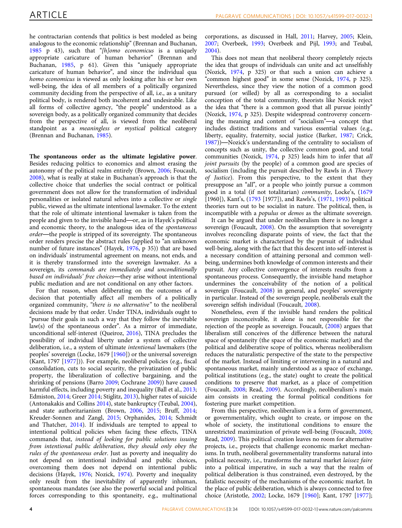he contractarian contends that politics is best modeled as being analogous to the economic relationship" (Brennan and Buchanan, [1985](#page-9-0) p 43), such that "[h]omo economicus is a uniquely appropriate caricature of human behavior" (Brennan and Buchanan, [1985](#page-9-0), p 61). Given this "uniquely appropriate caricature of human behavior", and since the individual qua homo economicus is viewed as only looking after his or her own well-being, the idea of all members of a politically organized community deciding from the perspective of all, i.e., as a unitary political body, is rendered both incoherent and undesirable. Like all forms of collective agency, "the people" understood as a sovereign body, as a politically organized community that decides from the perspective of all, is viewed from the neoliberal standpoint as a meaningless or mystical political category (Brennan and Buchanan, [1985](#page-9-0)).

The spontaneous order as the ultimate legislative power. Besides reducing politics to economics and almost erasing the autonomy of the political realm entirely (Brown, [2006;](#page-9-0) Foucault, [2008\)](#page-9-0), what is really at stake in Buchanan's approach is that the collective choice that underlies the social contract or political government does not allow for the transformation of individual personalities or isolated natural selves into a collective or single public, viewed as the ultimate intentional lawmaker. To the extent that the role of ultimate intentional lawmaker is taken from the people and given to the invisible hand—or, as in Hayek's political and economic theory, to the analogous idea of the spontaneous order—the people is stripped of its sovereignty. The spontaneous order renders precise the abstract rules (applied to "an unknown number of future instances" (Hayek, [1976](#page-9-0), p 35)) that are based on individuals' instrumental agreement on means, not ends, and it is thereby transformed into the sovereign lawmaker. As a sovereign, its commands are immediately and unconditionally based on individuals' free choices—they arise without intentional public mediation and are not conditional on any other factors.

For that reason, when deliberating on the outcomes of a decision that potentially affect all members of a politically organized community, "there is no alternative" to the neoliberal decisions made by that order. Under TINA, individuals ought to "pursue their goals in such a way that they follow the inevitable law(s) of the spontaneous order". As a mirror of immediate, unconditional self-interest (Queiroz, [2016](#page-9-0)), TINA precludes the possibility of individual liberty under a system of collective deliberation, i.e., a system of ultimate intentional lawmakers (the peoples' sovereign (Locke, 1679 [[1960](#page-9-0)]) or the universal sovereign (Kant, 1797 [[1977\]](#page-9-0))). For example, neoliberal policies (e.g., fiscal consolidation, cuts to social security, the privatization of public property, the liberalization of collective bargaining, and the shrinking of pensions (Barro [2009](#page-8-0); Cochrane [2009\)](#page-9-0)) have caused harmful effects, including poverty and inequality (Ball et al., [2013;](#page-8-0) Edmiston, [2014;](#page-9-0) Greer [2014;](#page-9-0) Stiglitz, [2013](#page-10-0)), higher rates of suicide (Antonakakis and Collins [2014](#page-8-0)), state bankruptcy (Teubal, [2004](#page-10-0)), and state authoritarianism (Brown, [2006](#page-9-0), [2015](#page-9-0); Bruff, [2014;](#page-9-0) Kreuder-Sonnen and Zangl, [2015;](#page-9-0) Orphanides, [2014](#page-9-0); Schmidt and Thatcher, [2014](#page-9-0)). If individuals are tempted to appeal to intentional political policies when facing these effects, TINA commands that, instead of looking for public solutions issuing from intentional public deliberation, they should only obey the rules of the spontaneous order. Just as poverty and inequality do not depend on intentional individual and public choices, overcoming them does not depend on intentional public decisions (Hayek, [1976;](#page-9-0) Nozick, [1974](#page-9-0)). Poverty and inequality only result from the inevitability of apparently inhuman, spontaneous mandates (see also the powerful social and political forces corresponding to this spontaneity, e.g., multinational

corporations, as discussed in Hall, [2011;](#page-9-0) Harvey, [2005;](#page-9-0) Klein, [2007;](#page-9-0) Overbeek, [1993;](#page-9-0) Overbeek and Pijl, [1993;](#page-9-0) and Teubal, [2004\)](#page-10-0).

This does not mean that neoliberal theory completely rejects the idea that groups of individuals can unite and act unselfishly (Nozick, [1974](#page-9-0), p 325) or that such a union can achieve a "common highest good" in some sense (Nozick, [1974](#page-9-0), p 325). Nevertheless, since they view the notion of a common good pursued (or willed) by all as corresponding to a socialist conception of the total community, theorists like Nozick reject the idea that "there is a common good that all pursue jointly" (Nozick, [1974](#page-9-0), p 325). Despite widespread controversy concerning the meaning and content of "socialism"—a concept that includes distinct traditions and various essential values (e.g., liberty, equality, fraternity, social justice (Barker, [1987;](#page-8-0) Crick, [1987\)](#page-9-0))—Nozick's understanding of the centrality to socialism of concepts such as unity, the collective common good, and total communities (Nozick, [1974](#page-9-0), p 325) leads him to infer that all joint pursuits (by the people) of a common good are species of socialism (including the pursuit described by Rawls in A Theory of Justice). From this perspective, to the extent that they presuppose an "all", or a people who jointly pursue a common good in a total (if not totalitarian) community, Locke's, ([1679](#page-9-0) [1960]), Kant's, [\(1793](#page-9-0) [1977]), and Rawls's, [\(1971,](#page-9-0) [1993](#page-9-0)) political theories turn out to be socialist in nature. The political, then, is incompatible with a *populus* or *demos* as the ultimate sovereign.

It can be argued that under neoliberalism there is no longer a sovereign (Foucault, [2008\)](#page-9-0). On the assumption that sovereignty involves reconciling disparate points of view, the fact that the economic market is characterized by the pursuit of individual well-being, along with the fact that this descent into self-interest is a necessary condition of attaining personal and common wellbeing, undermines both knowledge of common interests and their pursuit. Any collective convergence of interests results from a spontaneous process. Consequently, the invisible hand metaphor undermines the conceivability of the notion of a political sovereign (Foucault, [2008\)](#page-9-0) in general, and peoples' sovereignty in particular. Instead of the sovereign people, neoliberals exalt the sovereign selfish individual (Foucault, [2008\)](#page-9-0).

Nonetheless, even if the invisible hand renders the political sovereign inconceivable, it alone is not responsible for the rejection of the people as sovereign. Foucault, [\(2008](#page-9-0)) argues that liberalism still conceives of the difference between the natural space of spontaneity (the space of the economic market) and the political and deliberative scope of politics, whereas neoliberalism reduces the naturalistic perspective of the state to the perspective of the market. Instead of limiting or intervening in a natural and spontaneous market, mainly understood as a space of exchange, political institutions (e.g., the state) ought to create the political conditions to preserve that market, as a place of competition (Foucault, [2008](#page-9-0); Read, [2009\)](#page-9-0). Accordingly, neoliberalism's main aim consists in creating the formal political conditions for fostering pure market competition.

From this perspective, neoliberalism is a form of government, or governmentality, which ought to create, or impose on the whole of society, the institutional conditions to ensure the unrestricted maximization of private well-being (Foucault, [2008;](#page-9-0) Read, [2009](#page-9-0)). This political creation leaves no room for alternative projects, i.e., projects that challenge economic market mechanisms. In truth, neoliberal governmentality transforms natural into political necessity, i.e., transforms the natural market laissez faire into a political imperative, in such a way that the realm of political deliberation is thus constrained, even destroyed, by the fatalistic necessity of the mechanisms of the economic market. In the place of public deliberation, which is always connected to free choice (Aristotle, [2002;](#page-8-0) Locke, 1679 [\[1960](#page-9-0)]; Kant, 1797 [\[1977](#page-9-0)];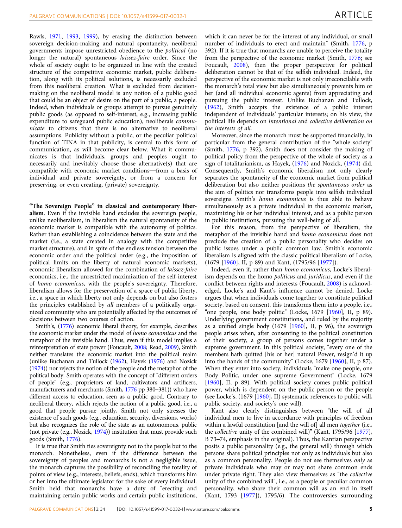Rawls, [1971](#page-9-0), [1993](#page-9-0), [1999\)](#page-9-0), by erasing the distinction between sovereign decision-making and natural spontaneity, neoliberal governments impose unrestricted obedience to the political (no longer the natural) spontaneous laissez-faire order. Since the whole of society ought to be organized in line with the created structure of the competitive economic market, public deliberation, along with its political solutions, is necessarily excluded from this neoliberal creation. What is excluded from decisionmaking on the neoliberal model is any notion of a public good that could be an object of desire on the part of a public, a people. Indeed, when individuals or groups attempt to pursue genuinely public goods (as opposed to self-interest, e.g., increasing public expenditure to safeguard public education), neoliberals communicate to citizens that there is no alternative to neoliberal assumptions. Publicity without a public, or the peculiar political function of TINA in that publicity, is central to this form of communication, as will become clear below. What it communicates is that individuals, groups and peoples ought to necessarily and inevitably choose those alternative(s) that are compatible with economic market conditions—from a basis of individual and private sovereignty, or from a concern for preserving, or even creating, (private) sovereignty.

"The Sovereign People" in classical and contemporary liberalism. Even if the invisible hand excludes the sovereign people, unlike neoliberalism, in liberalism the natural spontaneity of the economic market is compatible with the autonomy of politics. Rather than establishing a coincidence between the state and the market (i.e., a state created in analogy with the competitive market structure), and in spite of the endless tension between the economic order and the political order (e.g., the imposition of political limits on the liberty of natural economic markets), economic liberalism allowed for the combination of laissez-faire economics, i.e., the unrestricted maximization of the self-interest of homo economicus, with the people's sovereignty. Therefore, liberalism allows for the preservation of a space of public liberty, i.e., a space in which liberty not only depends on but also fosters the principles established by all members of a politically organized community who are potentially affected by the outcomes of decisions between two courses of action.

Smith's, [\(1776](#page-9-0)) economic liberal theory, for example, describes the economic market under the model of homo economicus and the metaphor of the invisible hand. Thus, even if this model implies a reinterpretation of state power (Foucault, [2008](#page-9-0); Read, [2009\)](#page-9-0), Smith neither translates the economic market into the political realm (unlike Buchanan and Tullock [\(1962\)](#page-9-0), Hayek [\(1976\)](#page-9-0) and Nozick ([1974](#page-9-0))) nor rejects the notion of the people and the metaphor of the political body. Smith operates with the concept of "different orders of people" (e.g., proprietors of land, cultivators and artificers, manufacturers and merchants (Smith, [1776](#page-9-0) pp 380–381)) who have different access to education, seen as a public good. Contrary to neoliberal theory, which rejects the notion of a public good, i.e., a good that people pursue jointly, Smith not only stresses the existence of such goods (e.g., education, security, diversions, works) but also recognizes the role of the state as an autonomous, public (not private (e.g., Nozick, [1974\)](#page-9-0)) institution that must provide such goods (Smith, [1776\)](#page-9-0).

It is true that Smith ties sovereignty not to the people but to the monarch. Nonetheless, even if the difference between the sovereignty of peoples and monarchs is not a negligible issue, the monarch captures the possibility of reconciling the totality of points of view (e.g., interests, beliefs, ends), which transforms him or her into the ultimate legislator for the sake of every individual. Smith held that monarchs have a duty of "erecting and maintaining certain public works and certain public institutions,

which it can never be for the interest of any individual, or small number of individuals to erect and maintain" (Smith, [1776](#page-9-0), p 392). If it is true that monarchs are unable to perceive the totality from the perspective of the economic market (Smith, [1776;](#page-9-0) see Foucault, [2008](#page-9-0)), then the proper perspective for political deliberation cannot be that of the selfish individual. Indeed, the perspective of the economic market is not only irreconcilable with the monarch's total view but also simultaneously prevents him or her (and all individual economic agents) from appreciating and pursuing the public interest. Unlike Buchanan and Tullock, ([1962](#page-9-0)), Smith accepts the existence of a public interest independent of individuals' particular interests; on his view, the political life depends on intentional and collective deliberation on the interests of all.

Moreover, since the monarch must be supported financially, in particular from the general contribution of the "whole society" (Smith, [1776,](#page-9-0) p 392), Smith does not consider the making of political policy from the perspective of the whole of society as a sign of totalitarianism, as Hayek, [\(1976](#page-9-0)) and Nozick, ([1974\)](#page-9-0) did. Consequently, Smith's economic liberalism not only clearly separates the spontaneity of the economic market from political deliberation but also neither positions the spontaneous order as the aim of politics nor transforms people into selfish individual sovereigns. Smith's homo economicus is thus able to behave simultaneously as a private individual in the economic market, maximizing his or her individual interest, and as a public person in public institutions, pursuing the well-being of all.

For this reason, from the perspective of liberalism, the metaphor of the invisible hand and homo economicus does not preclude the creation of a public personality who decides on public issues under a public common law. Smith's economic liberalism is aligned with the classic political liberalism of Locke, (1679 [\[1960\]](#page-9-0), II, p 89) and Kant, (1795/96 [[1977](#page-9-0)]).

Indeed, even if, rather than homo economicus, Locke's liberalism depends on the homo politicus and juridicus, and even if the conflict between rights and interests (Foucault, [2008](#page-9-0)) is acknowledged, Locke's and Kant's influence cannot be denied. Locke argues that when individuals come together to constitute political society, based on consent, this transforms them into a people, i.e., "one people, one body politic" (Locke, 1679 [\[1960](#page-9-0)], II, p 89). Underlying government constitutions, and ruled by the majority as a unified single body (1679 [[1960](#page-9-0)], II, p 96), the sovereign people arises when, after consenting to the political constitution of their society, a group of persons comes together under a supreme government. In this political society, "every one of the members hath quitted [his or her] natural Power, resign'd it up into the hands of the community" (Locke, 1679 [[1960\]](#page-9-0), II, p 87). When they enter into society, individuals "make one people, one Body Politic, under one supreme Government" (Locke, 1679 [[1960](#page-9-0)], II, p 89). With political society comes public political power, which is dependent on the public person or the people (see Locke's, (1679 [\[1960](#page-9-0)], II) systematic references to public will, public society, and society's one will).

Kant also clearly distinguishes between "the will of all individual men to live in accordance with principles of freedom within a lawful constitution [and the will of] all men together (i.e., the collective unity of the combined will)" (Kant, 1795/96 [\[1977](#page-9-0)], B 73–74, emphasis in the original). Thus, the Kantian perspective posits a public personality (e.g., the general will) through which persons share political principles not only as individuals but also as a common personality. People do not see themselves only as private individuals who may or may not share common ends under private right. They also view themselves as "the collective unity of the combined will", i.e., as a people or peculiar common personality, who share their common will as an end in itself (Kant, 1793 [[1977](#page-9-0)]), 1795/6). The controversies surrounding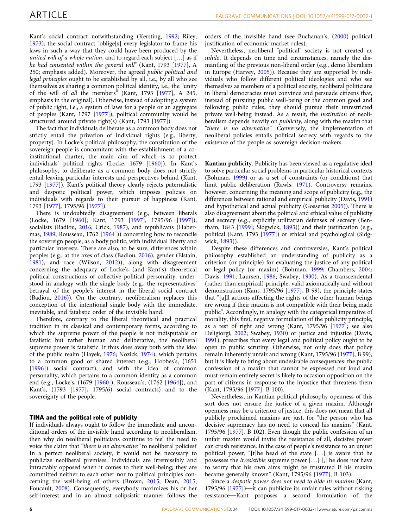Kant's social contract notwithstanding (Kersting, [1992](#page-9-0); Riley, [1973\)](#page-9-0), the social contract "oblige[s] every legislator to frame his laws in such a way that they could have been produced by the united will of a whole nation, and to regard each subject [...] as if he had consented within the general will" (Kant, 1793 [\[1977](#page-9-0)], A 250; emphasis added). Moreover, the agreed public political and legal principles ought to be established by all, i.e., by all who see themselves as sharing a common political identity, i.e., the "unity of the will of all the members" (Kant, 1793 [[1977\]](#page-9-0), A 245, emphasis in the original). Otherwise, instead of adopting a system of public right, i.e., a system of laws for a people or an aggregate of peoples (Kant, 1797 [[1977\]](#page-9-0)), political community would be structured around private right(s) (Kant, 1793 [[1977\]](#page-9-0)).

The fact that individuals deliberate as a common body does not strictly entail the privation of individual rights (e.g., liberty, property). In Locke's political philosophy, the constitution of the sovereign people is concomitant with the establishment of a coinstitutional charter, the main aim of which is to protect individuals' political rights (Locke, 1679 [[1960](#page-9-0)]). In Kant's philosophy, to deliberate as a common body does not strictly entail leaving particular interests and perspectives behind (Kant, 1793 [[1977\]](#page-9-0)). Kant's political theory clearly rejects paternalistic and despotic political power, which imposes policies on individuals with regards to their pursuit of happiness (Kant, 1793 [\[1977](#page-9-0)], 1795/96 [\[1977](#page-9-0)]).

There is undoubtedly disagreement (e.g., between liberals (Locke, 1679 [[1960](#page-9-0)]; Kant, 1793 [[1997\]](#page-9-0), 1795/96 [[1997](#page-9-0)]), socialists (Badiou, [2016](#page-8-0); Crick, [1987](#page-9-0)), and republicans (Habermas, [1989](#page-9-0); Rousseau, 1762 [[1964](#page-9-0)])) concerning how to reconcile the sovereign people, as a body politic, with individual liberty and particular interests. There are also, to be sure, differences within peoples (e.g., at the axes of class (Badiou, [2016\)](#page-8-0), gender (Elstain, [1981\)](#page-9-0), and race (Wilson, [2012\)](#page-10-0)), along with disagreement concerning the adequacy of Locke's (and Kant's) theoretical political constructions of collective political personality, understood in analogy with the single body (e.g., the representatives' betrayal of the people's interest in the liberal social contract (Badiou, [2016\)](#page-8-0)). On the contrary, neoliberalism replaces this conception of the intentional single body with the immediate, inevitable, and fatalistic order of the invisible hand.

Therefore, contrary to the liberal theoretical and practical tradition in its classical and contemporary forms, according to which the supreme power of the people is not indisputable or fatalistic but rather human and deliberative, the neoliberal supreme power is fatalistic. It thus does away both with the idea of the public realm (Hayek, [1976](#page-9-0); Nozick, [1974\)](#page-9-0), which pertains to a common good or shared interest (e.g., Hobbes's, (1651 [[1996\]](#page-9-0)) social contract), and with the idea of common personality, which pertains to a common identity as a common end (e.g., Locke's, (1679 [\[1960](#page-9-0)]), Rousseau's, (1762 [\[1964\]](#page-9-0)), and Kant's, (1793 [\[1977\]](#page-9-0), 1795/6) social contracts) and to the sovereignty of the people.

### TINA and the political role of publicity

If individuals always ought to follow the immediate and unconditional orders of the invisible hand according to neoliberalism, then why do neoliberal politicians continue to feel the need to voice the claim that "there is no alternative" to neoliberal policies? In a perfect neoliberal society, it would not be necessary to publicize neoliberal premises. Individuals are irremissibly and intractably opposed when it comes to their well-being; they are committed neither to each other nor to political principles concerning the well-being of others (Brown, [2015](#page-9-0); Dean, [2015;](#page-9-0) Foucault, [2008](#page-9-0)). Consequently, everybody maximizes his or her self-interest and in an almost solipsistic manner follows the

orders of the invisible hand (see Buchanan's, [\(2000](#page-9-0)) political justification of economic market rules).

Nevertheless, neoliberal "political" society is not created ex nihilo. It depends on time and circumstances, namely the dismantling of the previous non-liberal order (e.g., demo liberalism in Europe (Harvey, [2005\)](#page-9-0)). Because they are supported by individuals who follow different political ideologies and who see themselves as members of a political society, neoliberal politicians in liberal democracies must convince and persuade citizens that, instead of pursuing public well-being or the common good and following public rules, they should pursue their unrestricted private well-being instead. As a result, the institution of neoliberalism depends heavily on *publicity*, along with the maxim that "there is no alternative". Conversely, the implementation of neoliberal policies entails political secrecy with regards to the existence of the people as sovereign decision-makers.

Kantian publicity. Publicity has been viewed as a regulative ideal to solve particular social problems in particular historical contexts (Bohman, [1999](#page-9-0)) or as a set of constraints (or conditions) that limit public deliberation (Rawls, [1971\)](#page-9-0). Controversy remains, however, concerning the meaning and scope of publicity (e.g., the differences between rational and empirical publicity (Davis, [1991](#page-9-0)) and hypothetical and actual publicity (Gosseries [2005\)](#page-9-0)). There is also disagreement about the political and ethical value of publicity and secrecy (e.g., explicitly utilitarian defenses of secrecy (Bentham, 1843 [[1999\]](#page-8-0); Sidgwick, [1893\)](#page-9-0)) and their justification (e.g., political (Kant, 1793 [\[1977](#page-9-0)]) or ethical and psychological (Sidgwick, [1893](#page-9-0))).

Despite these differences and controversies, Kant's political philosophy established an understanding of publicity as a criterion (or principle) for evaluating the justice of any political or legal policy (or maxim) (Bohman, [1999;](#page-9-0) Chambers, [2004;](#page-9-0) Davis, [1991;](#page-9-0) Laursen, [1986](#page-9-0); Swabey, [1930\)](#page-10-0). As a transcendental (rather than empirical) principle, valid axiomatically and without demonstration (Kant, 1795/96 [\[1977](#page-9-0)], B 99), the principle states that "[a]ll actions affecting the rights of the other human beings are wrong if their maxim is not compatible with their being made public". Accordingly, in analogy with the categorical imperative of morality, this first, negative formulation of the publicity principle, as a test of right and wrong (Kant, 1795/96 [[1977\]](#page-9-0); see also Deligiorgi, [2002](#page-9-0); Swabey, [1930\)](#page-10-0) or justice and injustice (Davis, [1991\)](#page-9-0), prescribes that every legal and political policy ought to be open to public scrutiny. Otherwise, not only does that policy remain inherently unfair and wrong (Kant, 1795/96 [[1977\]](#page-9-0), B 99), but it is likely to bring about undesirable consequences: the public confession of a maxim that cannot be expressed out loud and must remain entirely secret is likely to occasion opposition on the part of citizens in response to the injustice that threatens them (Kant, 1795/96 [\[1977](#page-9-0)], B 100).

Nevertheless, in Kantian political philosophy openness of this sort does not ensure the justice of a given maxim. Although openness may be a criterion of justice, this does not mean that all publicly proclaimed maxims are just, for "the person who has decisive supremacy has no need to conceal his maxims" (Kant, 1795/96 [\[1977](#page-9-0)], B 102). Even though the public confession of an unfair maxim would invite the resistance of all, decisive power can crush resistance. In the case of people's resistance to an unjust political power, "[t]he head of the state […] is aware that he possesses the irresistible supreme power […] [;] he does not have to worry that his own aims might be frustrated if his maxim became generally known" (Kant, 1795/96 [\[1977](#page-9-0)], B 103).

Since a despotic power does not need to hide its maxims (Kant, 1795/96 [\[1977](#page-9-0)])—it can publicize its unfair rules without risking resistance—Kant proposes a second formulation of the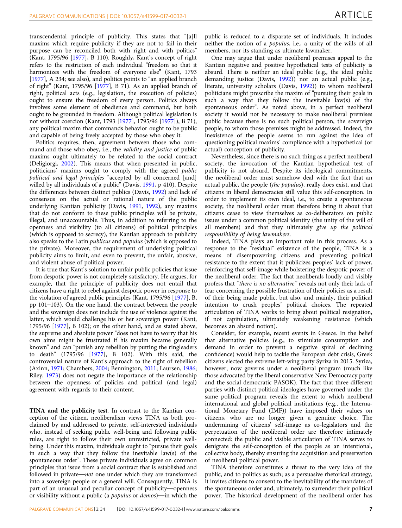transcendental principle of publicity. This states that "[a]ll maxims which require publicity if they are not to fail in their purpose can be reconciled both with right and with politics" (Kant, 1795/96 [[1977\]](#page-9-0), B 110). Roughly, Kant's concept of right refers to the restriction of each individual "freedom so that it harmonizes with the freedom of everyone else" (Kant, 1793 [[1977\]](#page-9-0), A 234; see also), and politics points to "an applied branch" of right" (Kant, 1795/96 [\[1977](#page-9-0)], B 71). As an applied branch of right, political acts (e.g., legislation, the execution of policies) ought to ensure the freedom of every person. Politics always involves some element of obedience and command, but both ought to be grounded in freedom. Although political legislation is not without coercion (Kant, 1793 [[1977](#page-9-0)], 1795/96 [\[1977\]](#page-9-0)), B 71), any political maxim that commands behavior ought to be public and capable of being freely accepted by those who obey it.

Politics requires, then, agreement between those who command and those who obey, i.e., the validity and justice of public maxims ought ultimately to be related to the social contract (Deligiorgi, [2002\)](#page-9-0). This means that when presented in public, politicians' maxims ought to comply with the agreed public political and legal principles "accepted by all concerned [and] willed by all individuals of a public" (Davis, [1991](#page-9-0), p 410). Despite the differences between distinct publics (Davis, [1992](#page-9-0)) and lack of consensus on the actual or rational nature of the public underlying Kantian publicity (Davis, [1991,](#page-9-0) [1992](#page-9-0)), any maxims that do not conform to these public principles will be private, illegal, and unaccountable. Thus, in addition to referring to the openness and visibility (to all citizens) of political principles (which is opposed to secrecy), the Kantian approach to publicity also speaks to the Latin publicus and populus (which is opposed to the private). Moreover, the requirement of underlying political publicity aims to limit, and even to prevent, the unfair, abusive, and violent abuse of political power.

It is true that Kant's solution to unfair public policies that issue from despotic power is not completely satisfactory. He argues, for example, that the principle of publicity does not entail that citizens have a right to rebel against despotic power in response to the violation of agreed public principles (Kant, 1795/96 [\[1977](#page-9-0)], B, pp 101–103). On the one hand, the contract between the people and the sovereign does not include the use of violence against the latter, which would challenge his or her sovereign power (Kant, 1795/96 [\[1977](#page-9-0)], B 102); on the other hand, and as stated above, the supreme and absolute power "does not have to worry that his own aims might be frustrated if his maxim became generally known" and can "punish any rebellion by putting the ringleaders to death" (1795/96 [\[1977](#page-9-0)], B 102). With this said, the controversial nature of Kant's approach to the right of rebellion (Axinn, [1971](#page-8-0); Chambers, [2004;](#page-9-0) Bennington, [2011;](#page-8-0) Laursen, [1986;](#page-9-0) Riley, [1973](#page-9-0)) does not negate the importance of the relationship between the openness of policies and political (and legal) agreement with regards to their content.

TINA and the publicity test. In contrast to the Kantian conception of the citizen, neoliberalism views TINA as both proclaimed by and addressed to private, self-interested individuals who, instead of seeking public well-being and following public rules, are right to follow their own unrestricted, private wellbeing. Under this maxim, individuals ought to "pursue their goals in such a way that they follow the inevitable law(s) of the spontaneous order". These private individuals agree on common principles that issue from a social contract that is established and followed in private—not one under which they are transformed into a sovereign people or a general will. Consequently, TINA is part of an unusual and peculiar concept of publicity—openness or visibility without a public (a populus or demos)—in which the

public is reduced to a disparate set of individuals. It includes neither the notion of a populus, i.e., a unity of the wills of all members, nor its standing as ultimate lawmaker.

One may argue that under neoliberal premises appeal to the Kantian negative and positive hypothetical tests of publicity is absurd. There is neither an ideal public (e.g., the ideal public demanding justice (Davis, [1992\)](#page-9-0)) nor an actual public (e.g., literate, university scholars (Davis, [1992\)](#page-9-0)) to whom neoliberal politicians might prescribe the maxim of "pursuing their goals in such a way that they follow the inevitable law(s) of the spontaneous order". As noted above, in a perfect neoliberal society it would not be necessary to make neoliberal premises public because there is no such political person, the sovereign people, to whom those premises might be addressed. Indeed, the inexistence of the people seems to run against the idea of questioning political maxims' compliance with a hypothetical (or actual) conception of publicity.

Nevertheless, since there is no such thing as a perfect neoliberal society, the invocation of the Kantian hypothetical test of publicity is not absurd. Despite its ideological commitments, the neoliberal order must somehow deal with the fact that an actual public, the people (the populus), really does exist, and that citizens in liberal democracies still value this self-conception. In order to implement its own ideal, i.e., to create a spontaneous society, the neoliberal order must therefore bring it about that citizens cease to view themselves as co-deliberators on public issues under a common political identity (the unity of the will of all members) and that they ultimately give up the political responsibility of being lawmakers.

Indeed, TINA plays an important role in this process. As a response to the "residual" existence of the people, TINA is a means of disempowering citizens and preventing political resistance to the extent that it publicizes peoples' lack of power, reinforcing that self-image while bolstering the despotic power of the neoliberal order. The fact that neoliberals loudly and visibly profess that "there is no alternative" reveals not only their lack of fear concerning the possible frustration of their policies as a result of their being made public, but also, and mainly, their political intention to crush peoples' political choices. The repeated articulation of TINA works to bring about political resignation, if not capitulation, ultimately weakening resistance (which becomes an absurd notion).

Consider, for example, recent events in Greece. In the belief that alternative policies (e.g., to stimulate consumption and demand in order to prevent a negative spiral of declining confidence) would help to tackle the European debt crisis, Greek citizens elected the extreme left-wing party Syriza in 2015. Syriza, however, now governs under a neoliberal program (much like those advocated by the liberal conservative New Democracy party and the social democratic PASOK). The fact that three different parties with distinct political ideologies have governed under the same political program reveals the extent to which neoliberal international and global political institutions (e.g., the International Monetary Fund (IMF)) have imposed their values on citizens, who are no longer given a genuine choice. The undermining of citizens' self-image as co-legislators and the perpetuation of the neoliberal order are therefore intimately connected: the public and visible articulation of TINA serves to denigrate the self-conception of the people as an intentional, collective body, thereby ensuring the acquisition and preservation of neoliberal political power.

TINA therefore constitutes a threat to the very idea of the public, and to politics as such; as a persuasive rhetorical strategy, it invites citizens to consent to the inevitability of the mandates of the spontaneous order and, ultimately, to surrender their political power. The historical development of the neoliberal order has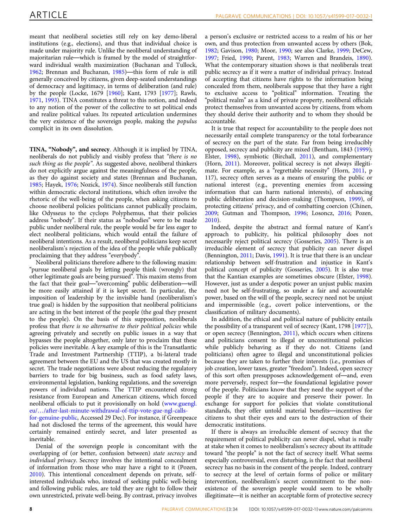meant that neoliberal societies still rely on key demo-liberal institutions (e.g., elections), and thus that individual choice is made under majority rule. Unlike the neoliberal understanding of majoritarian rule—which is framed by the model of straightforward individual wealth maximization (Buchanan and Tullock, [1962;](#page-9-0) Brennan and Buchanan, [1985\)](#page-9-0)—this form of rule is still generally conceived by citizens, given deep-seated understandings of democracy and legitimacy, in terms of deliberation (and rule) by the people (Locke, 1679 [[1960\]](#page-9-0); Kant, 1793 [\[1977\]](#page-9-0); Rawls, [1971,](#page-9-0) [1993\)](#page-9-0). TINA constitutes a threat to this notion, and indeed to any notion of the power of the collective to set political ends and realize political values. Its repeated articulation undermines the very existence of the sovereign people, making the populus complicit in its own dissolution.

TINA, "Nobody", and secrecy. Although it is implied by TINA, neoliberals do not publicly and visibly profess that "there is no such thing as the people". As suggested above, neoliberal thinkers do not explicitly argue against the meaningfulness of the people, as they do against society and states (Brennan and Buchanan, [1985;](#page-9-0) Hayek, [1976](#page-9-0); Nozick, [1974\)](#page-9-0). Since neoliberals still function within democratic electoral institutions, which often involve the rhetoric of the well-being of the people, when asking citizens to choose neoliberal policies politicians cannot publically proclaim, like Odysseus to the cyclops Polyphemus, that their policies address "nobody". If their status as "nobodies" were to be made public under neoliberal rule, the people would be far less eager to elect neoliberal politicians, which would entail the failure of neoliberal intentions. As a result, neoliberal politicians keep secret neoliberalism's rejection of the idea of the people while publically proclaiming that they address "everybody".

Neoliberal politicians therefore adhere to the following maxim: "pursue neoliberal goals by letting people think (wrongly) that other legitimate goals are being pursued". This maxim stems from the fact that their goal—"overcoming" public deliberation—will be more easily attained if it is kept secret. In particular, the imposition of leadership by the invisible hand (neoliberalism's true goal) is hidden by the supposition that neoliberal politicians are acting in the best interest of the people (the goal they present to the people). On the basis of this supposition, neoliberals profess that there is no alternative to their political policies while agreeing privately and secretly on public issues in a way that bypasses the people altogether, only later to proclaim that these policies were inevitable. A key example of this is the Transatlantic Trade and Investment Partnership (TTIP), a bi-lateral trade agreement between the EU and the US that was created mostly in secret. The trade negotiations were about reducing the regulatory barriers to trade for big business, such as food safety laws, environmental legislation, banking regulations, and the sovereign powers of individual nations. The TTIP encountered strong resistance from European and American citizens, which forced neoliberal officials to put it provisionally on hold [\(www.guengl.](http://www.guengl.eu/.../after-last-minute-withdrawal-of-ttip-vote-gue-ngl-calls-for-genuine-public) eu/…[/after-last-minute-withdrawal-of-ttip-vote-gue-ngl-calls-](http://www.guengl.eu/.../after-last-minute-withdrawal-of-ttip-vote-gue-ngl-calls-for-genuine-public)

[for-genuine-public](http://www.guengl.eu/.../after-last-minute-withdrawal-of-ttip-vote-gue-ngl-calls-for-genuine-public), Accessed 29 Dec). For instance, if Greenpeace had not disclosed the terms of the agreement, this would have certainly remained entirely secret, and later presented as inevitable.

Denial of the sovereign people is concomitant with the overlapping of (or better, confusion between) state secrecy and individual privacy. Secrecy involves the intentional concealment of information from those who may have a right to it (Pozen, [2010\)](#page-9-0). This intentional concealment depends on private, selfinterested individuals who, instead of seeking public well-being and following public rules, are told they are right to follow their own unrestricted, private well-being. By contrast, privacy involves a person's exclusive or restricted access to a realm of his or her own, and thus protection from unwanted access by others (Bok, [1982;](#page-9-0) Gavison, [1980](#page-9-0); Moor, [1990](#page-9-0); see also Clarke, [1999;](#page-9-0) DeCew, [1997;](#page-9-0) Fried, [1990;](#page-9-0) Parent, [1983](#page-9-0); Warren and Brandeis, [1890](#page-10-0)). What the contemporary situation shows is that neoliberals treat public secrecy as if it were a matter of individual privacy. Instead of accepting that citizens have rights to the information being concealed from them, neoliberals suppose that they have a right to exclusive access to "political" information. Treating the "political realm" as a kind of private property, neoliberal officials protect themselves from unwanted access by citizens, from whom they should derive their authority and to whom they should be accountable.

It is true that respect for accountability to the people does not necessarily entail complete transparency or the total forbearance of secrecy on the part of the state. Far from being irreducibly opposed, secrecy and publicity are mixed (Bentham, 1843 [\(1999](#page-8-0)); Elster, [1998\)](#page-9-0), symbiotic (Birchall, [2011\)](#page-9-0), and complementary (Horn, [2011\)](#page-9-0). Moreover, political secrecy is not always illegitimate. For example, as a "regrettable necessity" (Horn, [2011](#page-9-0), p 117), secrecy often serves as a means of ensuring the public or national interest (e.g., preventing enemies from accessing information that can harm national interests), of enhancing public deliberation and decision-making (Thompson, [1999\)](#page-10-0), of protecting citizens' privacy, and of combatting coercion (Chinen, [2009;](#page-9-0) Gutman and Thompson, [1996](#page-9-0); Losoncz, [2016;](#page-9-0) Pozen, [2010\)](#page-9-0).

Indeed, despite the abstract and formal nature of Kant's approach to publicity, his political philosophy does not necessarily reject political secrecy (Gosseries, [2005\)](#page-9-0). There is an irreducible element of secrecy that publicity can never dispel (Bennington, [2011;](#page-8-0) Davis, [1991](#page-9-0)). It is true that there is an unclear relationship between self-frustration and injustice in Kant's political concept of publicity (Gosseries, [2005](#page-9-0)). It is also true that the Kantian examples are sometimes obscure (Elster, [1998](#page-9-0)). However, just as under a despotic power an unjust public maxim need not be self-frustrating, so under a fair and accountable power, based on the will of the people, secrecy need not be unjust and impermissible (e.g., covert police interventions, or the classification of military documents).

In addition, the ethical and political nature of publicity entails the possibility of a transparent veil of secrecy (Kant, 1798 [[1977](#page-9-0)]), or open secrecy (Bennington, [2011\)](#page-8-0), which occurs when citizens and politicians consent to illegal or unconstitutional policies while publicly behaving as if they do not. Citizens (and politicians) often agree to illegal and unconstitutional policies because they are taken to further their interests (i.e., promises of job creation, lower taxes, greater "freedom"). Indeed, open secrecy of this sort often presupposes acknowledgement of—and, even more perversely, respect for—the foundational legislative power of the people. Politicians know that they need the support of the people if they are to acquire and preserve their power. In exchange for support for policies that violate constitutional standards, they offer untold material benefits—incentives for citizens to shut their eyes and ears to the destruction of their democratic institutions.

If there is always an irreducible element of secrecy that the requirement of political publicity can never dispel, what is really at stake when it comes to neoliberalism's secrecy about its attitude toward "the people" is not the fact of secrecy itself. What seems especially controversial, even disturbing, is the fact that neoliberal secrecy has no basis in the consent of the people. Indeed, contrary to secrecy at the level of certain forms of police or military intervention, neoliberalism's secret commitment to the nonexistence of the sovereign people would seem to be wholly illegitimate—it is neither an acceptable form of protective secrecy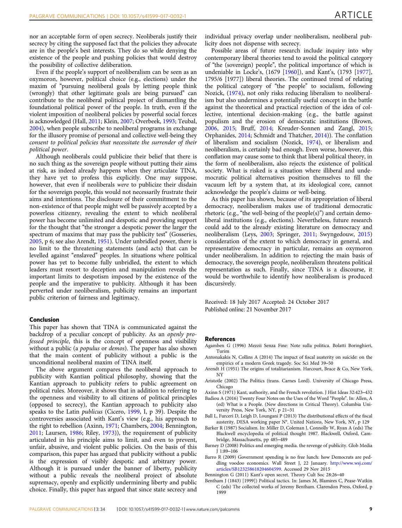<span id="page-8-0"></span>nor an acceptable form of open secrecy. Neoliberals justify their secrecy by citing the supposed fact that the policies they advocate are in the people's best interests. They do so while denying the existence of the people and pushing policies that would destroy the possibility of collective deliberation.

Even if the people's support of neoliberalism can be seen as an oxymoron, however, political choice (e.g., elections) under the maxim of "pursuing neoliberal goals by letting people think (wrongly) that other legitimate goals are being pursued" can contribute to the neoliberal political project of dismantling the foundational political power of the people. In truth, even if the violent imposition of neoliberal policies by powerful social forces is acknowledged (Hall, [2011](#page-9-0); Klein, [2007](#page-9-0); Overbeek, [1993](#page-9-0); Teubal, [2004\)](#page-10-0), when people subscribe to neoliberal programs in exchange for the illusory promise of personal and collective well-being they consent to political policies that necessitate the surrender of their political power.

Although neoliberals could publicize their belief that there is no such thing as the sovereign people without putting their aims at risk, as indeed already happens when they articulate TINA, they have yet to profess this explicitly. One may suppose, however, that even if neoliberals were to publicize their disdain for the sovereign people, this would not necessarily frustrate their aims and intentions. The disclosure of their commitment to the non-existence of that people might well be passively accepted by a powerless citizenry, revealing the extent to which neoliberal power has become unlimited and despotic and providing support for the thought that "the stronger a despotic power the larger the spectrum of maxims that may pass the publicity test" (Gosseries, [2005,](#page-9-0) p 6; see also Arendt, 1951). Under unbridled power, there is no limit to the threatening statements (and acts) that can be levelled against "enslaved" peoples. In situations where political power has yet to become fully unbridled, the extent to which leaders must resort to deception and manipulation reveals the important limits to despotism imposed by the existence of the people and the imperative to publicity. Although it has been perverted under neoliberalism, publicity remains an important public criterion of fairness and legitimacy.

# Conclusion

This paper has shown that TINA is communicated against the backdrop of a peculiar concept of publicity. As an openly professed principle, this is the concept of openness and visibility without a public (a *populus* or *demos*). The paper has also shown that the main content of publicity without a public is the unconditional neoliberal maxim of TINA itself.

The above argument compares the neoliberal approach to publicity with Kantian political philosophy, showing that the Kantian approach to publicity refers to public agreement on political rules. Moreover, it shows that in addition to referring to the openness and visibility to all citizens of political principles (opposed to secrecy), the Kantian approach to publicity also speaks to the Latin publicus (Cicero, [1999](#page-9-0), I, p 39). Despite the controversies associated with Kant's view (e.g., his approach to the right to rebellion (Axinn, 1971; Chambers, [2004;](#page-9-0) Bennington, 2011; Laursen, [1986](#page-9-0); Riley, [1973\)](#page-9-0)), the requirement of publicity articulated in his principle aims to limit, and even to prevent, unfair, abusive, and violent public policies. On the basis of this comparison, this paper has argued that publicity without a public is the expression of visibly despotic and arbitrary power. Although it is pursued under the banner of liberty, publicity without a public reveals the neoliberal project of absolute supremacy, openly and explicitly undermining liberty and public choice. Finally, this paper has argued that since state secrecy and

individual privacy overlap under neoliberalism, neoliberal publicity does not dispense with secrecy.

Possible areas of future research include inquiry into why contemporary liberal theories tend to avoid the political category of "the (sovereign) people", the political importance of which is undeniable in Locke's, (1679 [\[1960](#page-9-0)]), and Kant's, (1793 [\[1977](#page-9-0)], 1795/6 [1977]) liberal theories. The continued trend of relating the political category of "the people" to socialism, following Nozick, [\(1974](#page-9-0)), not only risks reducing liberalism to neoliberalism but also undermines a potentially useful concept in the battle against the theoretical and practical rejection of the idea of collective, intentional decision-making (e.g., the battle against populism and the erosion of democratic institutions (Brown, [2006,](#page-9-0) [2015](#page-9-0); Bruff, [2014;](#page-9-0) Kreuder-Sonnen and Zangl, [2015;](#page-9-0) Orphanides, [2014](#page-9-0); Schmidt and Thatcher, [2014](#page-9-0))). The conflation of liberalism and socialism (Nozick, [1974](#page-9-0)), or liberalism and neoliberalism, is certainly bad enough. Even worse, however, this conflation may cause some to think that liberal political theory, in the form of neoliberalism, also rejects the existence of political society. What is risked is a situation where illiberal and undemocratic political alternatives position themselves to fill the vacuum left by a system that, at its ideological core, cannot acknowledge the people's claims or well-being.

As this paper has shown, because of its appropriation of liberal democracy, neoliberalism makes use of traditional democratic rhetoric (e.g., "the well-being of the people(s)") and certain demoliberal institutions (e.g., elections). Nevertheless, future research could add to the already existing literature on democracy and neoliberalism (Leys, [2003;](#page-9-0) Springer, [2011](#page-10-0); Swyngedouw, [2015](#page-10-0)) consideration of the extent to which democracy in general, and representative democracy in particular, remains an oxymoron under neoliberalism. In addition to rejecting the main basis of democracy, the sovereign people, neoliberalism threatens political representation as such. Finally, since TINA is a discourse, it would be worthwhile to identify how neoliberalism is produced discursively.

Received: 18 July 2017 Accepted: 24 October 2017 Published online: 21 November 2017

#### **References**

- Agamben G (1996) Mezzii Senza Fine: Note sulla politica. Bolatti Boringhieri, Turim
- Antonakakis N, Collins A (2014) The impact of fiscal austerity on suicide: on the empirics of a modern Greek tragedy. Soc Sci Med 39–50
- Arendt H (1951) The origins of totalitarianism. Harcourt, Brace & Co, New York, NY
- Aristotle (2002) The Politics (trans. Carnes Lord). University of Chicago Press, Chicago
- Axinn S (1971) Kant, authority, and the French revolution. J Hist Ideas 32:423–432
- Badiou A (2016) Twenty Four Notes on the Uses of the Word "People". In: Allen, A (ed) What is a People. (New directions in Critical Theory). Columbia University Press, New York, NY, p 21–31
- Ball L, Furceri D, Leigh D, Loungani P (2013) The distributional effects of the fiscal austerity. DESA working paper N°. United Nations, New York, NY, p 129
- Barker R (1987) Socialism. In: Miller D, Coleman J, Connolly W, Ryan A (eds) The Blackwell encyclopedia of political thought 1987. Blackwell, Oxford, Cambridge, Massachusetts, pp 485–489
- Barney D (2008) Politics and emerging media. the revenge of publicity. Glob Media J 1:89–106
- Barro R (2009) Government spending is no free lunch: how Democrats are peddling voodoo economics. Wall Street J, 22 January. [http://www.wsj.com/](http://www.wsj.com/articles/SB123258618204604599) [articles/SB123258618204604599](http://www.wsj.com/articles/SB123258618204604599). Accessed 29 Nov 2015
- Bennington G (2011) Kant's open secret. Theory Cult Soc 28:26–40
- Bentham J (1843) [1999]) Political tactics. In: James M, Blamires C, Pease-Watkin C (eds) The collected works of Jeremy Bentham. Clarendon Press, Oxford, p 1999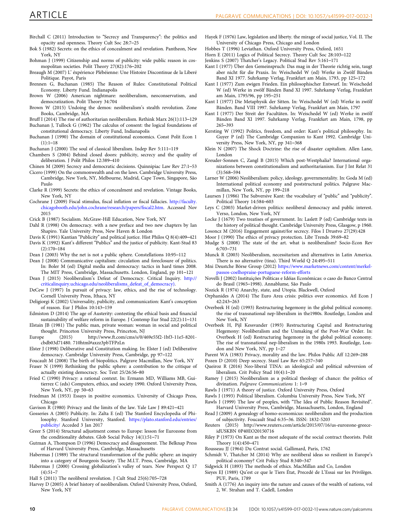- <span id="page-9-0"></span>Birchall C (2011) Introduction to "Secrecy and Transparency": the politics and opacity and openness. Theory Cult Soc 28:7–25
- Bok S (1982) Secrets: on the ethics of concealment and revelation. Pantheon, New York, NY
- Bohman J (1999) Citizenship and norms of publicity: wide public reason in cosmopolitan societies. Polit Theory 27(82):176–202
- Breaugh M (2007) L' éxpérience Plébéienne: Une Histoire Discontinue de la Liberé Politique. Payot, Paris
- Brennen G, Buchanan (1985) The Reason of Rules: Constitutional Political Economy. Liberty Fund. Indianapolis
- Brown W (2006) American nightmare: neoliberalism, neoconservatism, and democratization. Polit Theory 34:704
- Brown W (2015) Undoing the demos: neoliberalism's stealth revolution. Zone Books, Cambridge, MA
- Bruff I (2014) The rise of authoritarian neoliberalism. Rethink Marx 26(1):113–129 Buchanan J, Tullock G (1962) The calculus of consent: the logical foundations of
- constitutional democracy. Liberty Fund, Indianapolis
- Buchanan J (1990) The domain of constitutional economics. Const Polit Econ 1  $(1):1-18$
- Buchanan J (2000) The soul of classical liberalism. Indep Rev 5:111–119
- Chambers S (2004) Behind closed doors: publicity, secrecy and the quality of deliberation. J Polit Philos 12:389–410
- Chinen M (2009) Secrecy and democratic decisions. Quinnipiac Law Rev 27:1–53
- Cicero (1999) On the commonwealth and on the laws. Cambridge University Press, Cambridge, New York, NY, Melbourne, Madrid, Cape Town, Singapore, São Paulo
- Clarke R (1999) Secrets: the ethics of concealment and revelation. Vintage Books, New York, NY
- Cochrane J (2009) Fiscal stimulus, fiscal inflation or fiscal fallacies. [http://faculty.](http://faculty.chicagobooth.edu/john.cochrane/research/papers/fiscal2.htm) [chicagobooth.edu/john.cochrane/research/papers/](http://faculty.chicagobooth.edu/john.cochrane/research/papers/fiscal2.htm)fiscal2.htm. Accessed Nov 2015
- Crick B (1987) Socialism. McGraw-Hill Education, New York, NY
- Dahl R (1998) On democracy. with a new preface and two new chapters by Ian Shapiro. Yale University Press, New Haven & London
- Davis K (1991) Kantian "Publicity" and political justice. Hist Philos Q 8(4):409–421 Davis K (1992) Kant's different "Publics" and the justice of publicity. Kant-Stud 83 (2):170–184
- Dean J (2003) Why the net is not a public sphere. Constellations 10:95–112
- Dean J (2008) Communicative capitalism: circulation and foreclosure of politics. In: Boler M (ed) Digital media and democracy: tactics in hard times 2008. The MIT Press, Cambridge, Massachusetts. London, England, pp 101–121
- Dean J (2015) Neoliberalism's Defeat of Democracy. Critical Inquiry. [http://](http://criticalinquiry.uchicago.edu/neoliberalisms_defeat_of_democracy)) [criticalinquiry.uchicago.edu/neoliberalisms\\_defeat\\_of\\_democracy\).](http://criticalinquiry.uchicago.edu/neoliberalisms_defeat_of_democracy))
- DeCew J (1997) In pursuit of privacy: law, ethics, and the rise of technology. Cornell University Press, Ithaca, NY
- Deligiorgi K (2002) Universality, publicity, and communication: Kant's conception of reason. Eur J Philos 10:143–159
- Edmiston D (2014) The age of Austerity: contesting the ethical basis and financial
- sustainability of welfare reform in Europe. J Contemp Eur Stud 22(2):11–131 Elstain JB (1981) The public man, private woman: woman in social and political
- thought. Princeton University Press, Princeton, NJ<br>pe (2015) http://www.ft.com/cms/s/0/4 Europe (2015) http://www.ft.com/cms/s/0/469e55f2-1bf3-11e5-8201 cbdb03d71480. 710html#axzz3pbTFPzLn
- Elster J (1998) Deliberative and Constitution making. In: Elster J (ed) Deliberative democracy. Cambridge University Press, Cambridge, pp 97–122
- Foucault M (2008) The birth of biopolitics. Palgrave Macmillan, New York, NY Fraser N (1999) Rethinking the public sphere: a contribution to the critique of actually existing democracy. Soc Text 25/26:56–80
- Fried C (1990) Privacy: a rational context. In: Ermann MD, Williams MB, Guitierrez C (eds) Computers, ethics, and society 1990. Oxford University Press, New York, NY, pp 50–63
- Friedman M (1953) Essays in positive economics. University of Chicago Press, Chicago
- Gavison R (1980) Privacy and the limits of the law. Yale Law J 89:421–421
- Gosseries A (2005) Publicity. In: Zalta E (ed) The Stanford Encyclopedia of Philosophy. Stanford University, Stanford. [https://plato.stanford.edu/entries/](https://plato.stanford.edu/entries/publicity/) [publicity/](https://plato.stanford.edu/entries/publicity/) Acceded 3 Jan 2017
- Greer S (2014) Structural adjustment comes to Europe: lesson for Eurozone from the conditionality debates. Glob Social Policy 14(1):51–71
- Gutman A, Thompson D (1996) Democracy and disagreement. The Belknap Press of Harvard University Press, Cambridge, Massachusetts
- Habermas J (1989) The structural transformation of the public sphere: an inquiry into a category of Bourgeois Society. The M.I.T. Press, Cambridge, MA
- Habermas J (2000) Crossing globalization's valley of tears. New Perspect Q 17  $(4):51-7$
- Hall S (2011) The neoliberal revolution. J Cult Stud 25(6):705–728
- Harvey D (2005) A brief history of neoliberalism. Oxford University Press, Oxford, New York, NY
- Hayek F (1976) Law, legislation and liberty. the mirage of social justice, Vol. II. The University of Chicago Press, Chicago and London
- Hobbes T (1996) Leviathan. Oxford University Press, Oxford, 1651
- Horn E (2011) Logics of Political Secrecy. Theory Cult Soc 28:103–122
- Jenkins S (2007) Thatcher's Legacy. Political Stud Rev 5:161–171
- Kant I (1977) Über den Gemeinspruch: Das mag in der Theorie richtig sein, taugt aber nicht für die Praxis. In: Weischedel W (ed) Werke in Zwölf Bänden Band XI 1977. Suhrkamp Verlag, Frankfurt am Main, 1793, pp 125–172
- Kant I (1977) Zum ewigen Frieden. Ein philosophischer Entwurf. In: Weischedel W (ed) Werke in zwölf Bänden Band XI 1997. Suhrkamp Verlag, Frankfurt am Main, 1795/96, pp 195–251
- Kant I (1977) Die Metaphysik der Sitten. In: Weischedel W (ed) Werke in zwölf Bänden. Band VIII 1997. Suhrkamp Verlag, Frankfurt am Main, 1797
- Kant I (1977) Der Streit der Facultäten. In: Weischedel W (ed) Werke in zwölf Bänden Band XI 1997. Suhrkamp Verlag, Frankfurt am Main, 1798, pp 265–393
- Kersting W (1992) Politics, freedom, and order: Kant's political philosophy. In: Guyer P (ed) The Cambridge Companion to Kant 1992. Cambridge University Press, New York, NY, pp 341–368
- Klein N (2007) The Shock Doctrine: the rise of disaster capitalism. Allen Lane, London
- Kreuder-Sonnen C, Zangl B (2015) Which post-Westphalia? International organizations between constitutionalism and authoritarianism. Eur J Int Relat 31 (3):568–594
- Larner W (2006) Neoliberalism: policy, ideology, governmentality. In: Goda M (ed) International political economy and poststructural politics. Palgrave Macmillan, New York, NY, pp 199–218
- Laursen J (1986) The Subversive Kant: the vocabulary of "public" and "publicity". Political Theory 14:584–603
- Leys C (2003) Market-driven politics: neoliberal democracy and public interest. Verso, London, New York, NY
- Locke J (1679) Two treatises of government. In: Laslett P (ed) Cambridge texts in the history of political thought. Cambridge University Press, Glasgow, p 1960.
- Losoncz M (2016) Engagement against/for secrecy. Filos I Drustvo 27(29):428
- Moor J (1990) The ethics of privacy protection. Libr Trends 39:69–82
- Mudge S (2008) The state of the art. what is neoliberalism? Socio-Econ Rev 6:703–731
- Munck R (2003) Neoliberalism, necessitarism and alternatives in Latin America. There is no alternative (tina). Third World Q 24:495–511
- Mni Deustche Börse Group (2012) [https://www.marketnews.com/content/merkel](https://www.marketnews.com/content/merkel-passos-coelhopraise-portuguese-reform-efforts)[passos-coelhopraise-portuguese-reform-efforts](https://www.marketnews.com/content/merkel-passos-coelhopraise-portuguese-reform-efforts)
- Novelli J (2002) Instituições Políticas e Idéias Econômicas: o caso do Banco Central do Brasil (1965–1998). Annablume, São Paulo
- Nozick R (1974) Anarchy, state, and Utopia. Blackwell, Oxford
- Orphanides A (2014) The Euro Area crisis: politics over economics. Atl Econ J 42:243–263
- Overbeek H (ed) (1993) Restructuring hegemony in the global political economy. the rise of transnational nep-liberalism in the1980s. Routledge, London and New York, NY
- Overbeek H, Pijl Kessvander (1993) Restructuring Capital and Restructuring Hegemony: Neoliberalism and the Unmaking of the Post-War Order. In: Overbeek H (ed) Restructuring hegemony in the global political economy. The rise of transnational nep-liberalism in the 1980s 1993. Routledge, London and New York, NY, pp 1–27
- Parent WA (1983) Privacy, morality and the law. Philos Public Aff 12:269–288

Pozen D (2010) Deep secrecy. Stanf Law Rev 65:257–340

- Queiroz R (2016) Neo-liberal TINA: an ideological and political subversion of liberalism. Crit Policy Stud 10(4):1–20
- Ramey J (2015) Neoliberalism as a political theology of chance: the politics of divination. Palgrave Communications 1: 1–9
- Rawls J (1971) A theory of justice. Oxford University Press, Oxford
- Rawls J (1993) Political liberalism. Columbia University Press, New York, NY

Rawls J (1999) The law of peoples, with "The Idea of Public Reason Revisited".

- Harvard University Press, Cambridge, Massachusetts, London, England Read J (2009) A genealogy of homo-economicus: neoliberalism and the production
- of subjectivity. Foucault Stud 6:35–36. ISSN: 1832-5203 Reuters (2015) http://www.reuters.com/article/2015/07/16/us-eurozone-greece-
- idUSKBN 0P40EO20150716 Riley P (1973) On Kant as the most adequate of the social contract theorists. Polit
- Theory 1(4):450–471
- Rousseau JJ (1964) Du Contrat social. Gallimard, Paris, 1762
- Schmidt V, Thatcher M (2014) Why are neoliberal ideas so resilient in Europe's political economy? Crit Policy Stud 8:340–347
- Sidgwick H (1893) The methods of ethics. MacMillan and Co, London
- Sieyes EJ (1989) Qu'est ce que le Tiers État, Precedé de L'Essai sur les Privilèges. PUF, Paris, 1789
- Smith A (1776) An inquiry into the nature and causes of the wealth of nations, vol 2, W. Strahan and T. Cadell, London